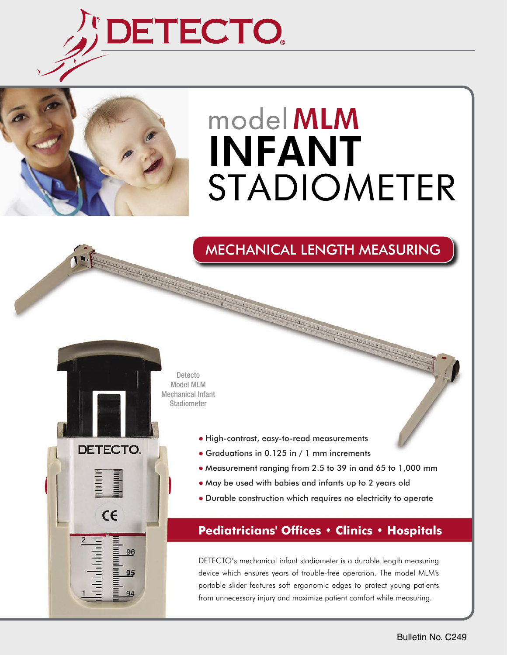

And Committee of the Committee of the Committee of the Committee of the Committee of the Committee of the Committee of the Committee of the Committee of the Committee of the Committee of the Committee of the Committee of t



DETECTO.

 $\epsilon$ 

96

# model MLM **INFANT STADIOMETER**

### MECHANICAL LENGTH MEASURING

Detecto Model MLM Mechanical Infant Stadiometer

- High-contrast, easy-to-read measurements
- Graduations in 0.125 in / 1 mm increments
- Measurement ranging from 2.5 to 39 in and 65 to 1,000 mm
- May be used with babies and infants up to 2 years old

A CALINE AND THE R. P. LEWIS CO., AND MINI-ROWSELL & CALINE AND THE R. P. LEWIS CO., AND A CALINE AND ALL AND <br>CALINE AND COMPANY AND THE R. P. LEWIS CO., AND MINI-ROWSELL & CALINE AND ALL AND ALL AND ALL AND ALL AND ALL A

● Durable construction which requires no electricity to operate

### **Pediatricians' Offices • Clinics • Hospitals**

DETECTO's mechanical infant stadiometer is a durable length measuring device which ensures years of trouble-free operation. The model MLM's portable slider features soft ergonomic edges to protect young patients from unnecessary injury and maximize patient comfort while measuring.